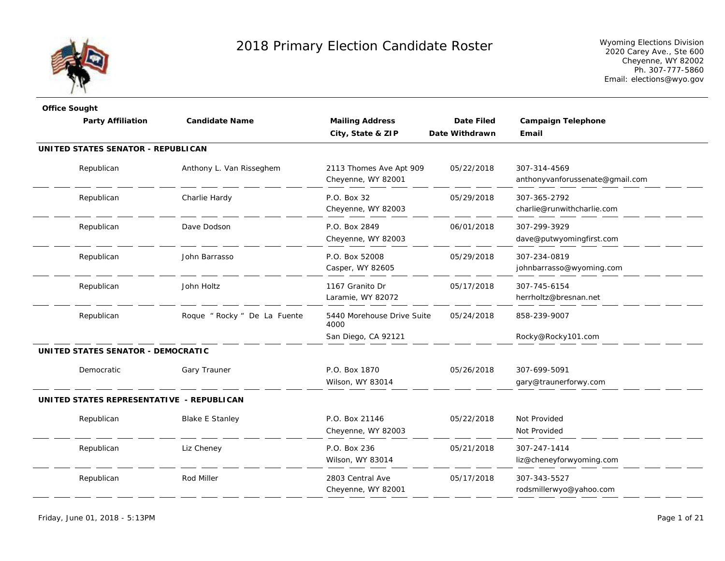

| <b>Office Sought</b>                      |                              |                                    |                   |                                 |
|-------------------------------------------|------------------------------|------------------------------------|-------------------|---------------------------------|
| <b>Party Affiliation</b>                  | <b>Candidate Name</b>        | <b>Mailing Address</b>             | <b>Date Filed</b> | <b>Campaign Telephone</b>       |
|                                           |                              | City, State & ZIP                  | Date Withdrawn    | Email                           |
| UNITED STATES SENATOR - REPUBLICAN        |                              |                                    |                   |                                 |
| Republican                                | Anthony L. Van Risseghem     | 2113 Thomes Ave Apt 909            | 05/22/2018        | 307-314-4569                    |
|                                           |                              | Cheyenne, WY 82001                 |                   | anthonyvanforussenate@gmail.com |
| Republican                                | Charlie Hardy                | P.O. Box 32                        | 05/29/2018        | 307-365-2792                    |
|                                           |                              | Cheyenne, WY 82003                 |                   | charlie@runwithcharlie.com      |
| Republican                                | Dave Dodson                  | P.O. Box 2849                      | 06/01/2018        | 307-299-3929                    |
|                                           |                              | Cheyenne, WY 82003                 |                   | dave@putwyomingfirst.com        |
| Republican                                | John Barrasso                | P.O. Box 52008                     | 05/29/2018        | 307-234-0819                    |
|                                           |                              | Casper, WY 82605                   |                   | johnbarrasso@wyoming.com        |
| Republican                                | John Holtz                   | 1167 Granito Dr                    | 05/17/2018        | 307-745-6154                    |
|                                           |                              | Laramie, WY 82072                  |                   | herrholtz@bresnan.net           |
| Republican                                | Roque " Rocky " De La Fuente | 5440 Morehouse Drive Suite<br>4000 | 05/24/2018        | 858-239-9007                    |
|                                           |                              | San Diego, CA 92121                |                   | Rocky@Rocky101.com              |
| UNITED STATES SENATOR - DEMOCRATIC        |                              |                                    |                   |                                 |
| Democratic                                | Gary Trauner                 | P.O. Box 1870                      | 05/26/2018        | 307-699-5091                    |
|                                           |                              | Wilson, WY 83014                   |                   | gary@traunerforwy.com           |
| UNITED STATES REPRESENTATIVE - REPUBLICAN |                              |                                    |                   |                                 |
| Republican                                | <b>Blake E Stanley</b>       | P.O. Box 21146                     | 05/22/2018        | Not Provided                    |
|                                           |                              | Cheyenne, WY 82003                 |                   | Not Provided                    |
| Republican                                | Liz Cheney                   | P.O. Box 236                       | 05/21/2018        | 307-247-1414                    |
|                                           |                              | Wilson, WY 83014                   |                   | liz@cheneyforwyoming.com        |
| Republican                                | Rod Miller                   | 2803 Central Ave                   | 05/17/2018        | 307-343-5527                    |
|                                           |                              | Cheyenne, WY 82001                 |                   | rodsmillerwyo@yahoo.com         |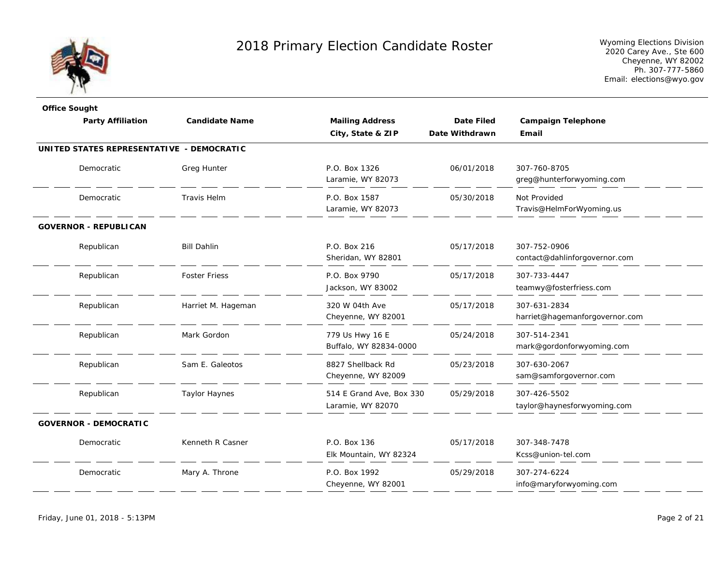

| <b>Candidate Name</b>                     | <b>Mailing Address</b>                        | Date Filed     | <b>Campaign Telephone</b>                      |
|-------------------------------------------|-----------------------------------------------|----------------|------------------------------------------------|
|                                           | City, State & ZIP                             | Date Withdrawn | Email                                          |
| UNITED STATES REPRESENTATIVE - DEMOCRATIC |                                               |                |                                                |
| Greg Hunter                               | P.O. Box 1326<br>Laramie, WY 82073            | 06/01/2018     | 307-760-8705<br>greg@hunterforwyoming.com      |
| <b>Travis Helm</b>                        | P.O. Box 1587<br>Laramie, WY 82073            | 05/30/2018     | Not Provided<br>Travis@HelmForWyoming.us       |
|                                           |                                               |                |                                                |
| <b>Bill Dahlin</b>                        | P.O. Box 216<br>Sheridan, WY 82801            | 05/17/2018     | 307-752-0906<br>contact@dahlinforgovernor.com  |
| <b>Foster Friess</b>                      | P.O. Box 9790<br>Jackson, WY 83002            | 05/17/2018     | 307-733-4447<br>teamwy@fosterfriess.com        |
| Harriet M. Hageman                        | 320 W 04th Ave<br>Cheyenne, WY 82001          | 05/17/2018     | 307-631-2834<br>harriet@hagemanforgovernor.com |
| Mark Gordon                               | 779 Us Hwy 16 E<br>Buffalo, WY 82834-0000     | 05/24/2018     | 307-514-2341<br>mark@gordonforwyoming.com      |
| Sam E. Galeotos                           | 8827 Shellback Rd<br>Cheyenne, WY 82009       | 05/23/2018     | 307-630-2067<br>sam@samforgovernor.com         |
| <b>Taylor Haynes</b>                      | 514 E Grand Ave, Box 330<br>Laramie, WY 82070 | 05/29/2018     | 307-426-5502<br>taylor@haynesforwyoming.com    |
|                                           |                                               |                |                                                |
| Kenneth R Casner                          | P.O. Box 136<br>Elk Mountain, WY 82324        | 05/17/2018     | 307-348-7478<br>Kcss@union-tel.com             |
| Mary A. Throne                            | P.O. Box 1992<br>Cheyenne, WY 82001           | 05/29/2018     | 307-274-6224<br>info@maryforwyoming.com        |
|                                           |                                               |                |                                                |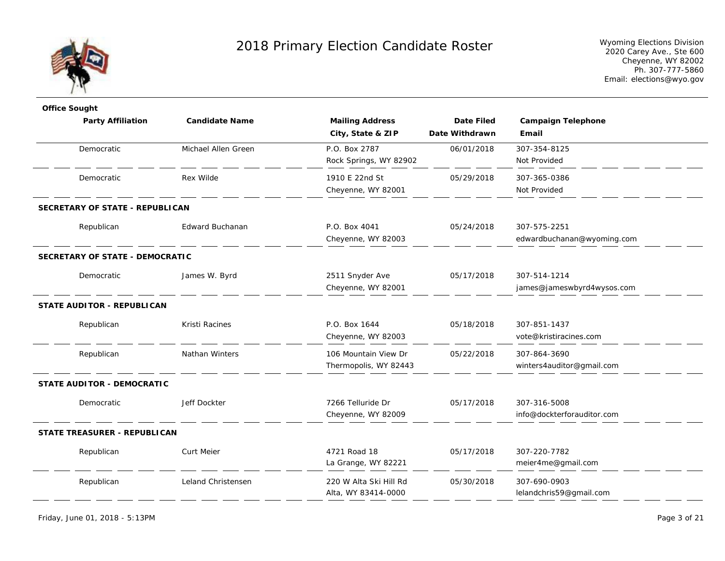

| <b>Office Sought</b>              |                       |                        |                   |                            |
|-----------------------------------|-----------------------|------------------------|-------------------|----------------------------|
| <b>Party Affiliation</b>          | <b>Candidate Name</b> | <b>Mailing Address</b> | <b>Date Filed</b> | <b>Campaign Telephone</b>  |
|                                   |                       | City, State & ZIP      | Date Withdrawn    | Email                      |
| Democratic                        | Michael Allen Green   | P.O. Box 2787          | 06/01/2018        | 307-354-8125               |
|                                   |                       | Rock Springs, WY 82902 |                   | Not Provided               |
| Democratic                        | Rex Wilde             | 1910 E 22nd St         | 05/29/2018        | 307-365-0386               |
|                                   |                       | Cheyenne, WY 82001     |                   | Not Provided               |
| SECRETARY OF STATE - REPUBLICAN   |                       |                        |                   |                            |
| Republican                        | Edward Buchanan       | P.O. Box 4041          | 05/24/2018        | 307-575-2251               |
|                                   |                       | Cheyenne, WY 82003     |                   | edwardbuchanan@wyoming.com |
| SECRETARY OF STATE - DEMOCRATIC   |                       |                        |                   |                            |
| Democratic                        | James W. Byrd         | 2511 Snyder Ave        | 05/17/2018        | 307-514-1214               |
|                                   |                       | Cheyenne, WY 82001     |                   | james@jameswbyrd4wysos.com |
| <b>STATE AUDITOR - REPUBLICAN</b> |                       |                        |                   |                            |
| Republican                        | Kristi Racines        | P.O. Box 1644          | 05/18/2018        | 307-851-1437               |
|                                   |                       | Cheyenne, WY 82003     |                   | vote@kristiracines.com     |
| Republican                        | Nathan Winters        | 106 Mountain View Dr   | 05/22/2018        | 307-864-3690               |
|                                   |                       | Thermopolis, WY 82443  |                   | winters4auditor@gmail.com  |
| <b>STATE AUDITOR - DEMOCRATIC</b> |                       |                        |                   |                            |
| Democratic                        | Jeff Dockter          | 7266 Telluride Dr      | 05/17/2018        | 307-316-5008               |
|                                   |                       | Cheyenne, WY 82009     |                   | info@dockterforauditor.com |
| STATE TREASURER - REPUBLICAN      |                       |                        |                   |                            |
| Republican                        | <b>Curt Meier</b>     | 4721 Road 18           | 05/17/2018        | 307-220-7782               |
|                                   |                       | La Grange, WY 82221    |                   | meier4me@gmail.com         |
| Republican                        | Leland Christensen    | 220 W Alta Ski Hill Rd | 05/30/2018        | 307-690-0903               |
|                                   |                       | Alta, WY 83414-0000    |                   | lelandchris59@gmail.com    |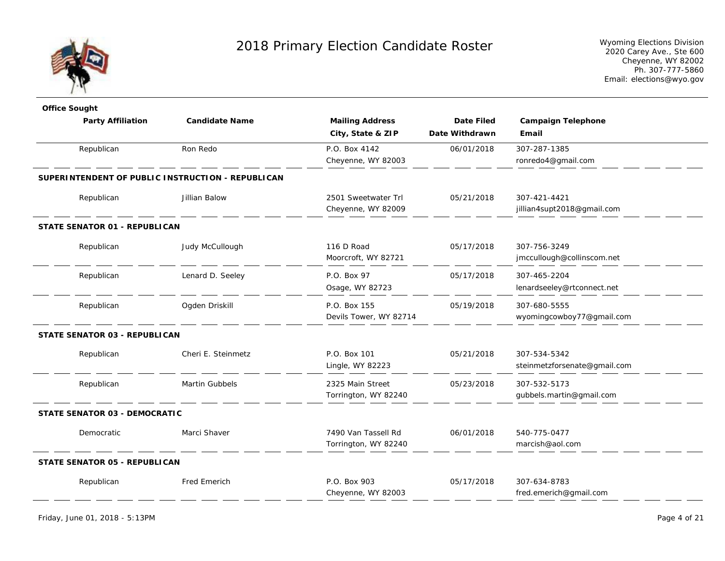

| <b>Office Sought</b>                              |                       |                        |                   |                              |
|---------------------------------------------------|-----------------------|------------------------|-------------------|------------------------------|
| <b>Party Affiliation</b>                          | <b>Candidate Name</b> | <b>Mailing Address</b> | <b>Date Filed</b> | <b>Campaign Telephone</b>    |
|                                                   |                       | City, State & ZIP      | Date Withdrawn    | Email                        |
| Republican                                        | Ron Redo              | P.O. Box 4142          | 06/01/2018        | 307-287-1385                 |
|                                                   |                       | Cheyenne, WY 82003     |                   | ronredo4@gmail.com           |
| SUPERINTENDENT OF PUBLIC INSTRUCTION - REPUBLICAN |                       |                        |                   |                              |
| Republican                                        | Jillian Balow         | 2501 Sweetwater Trl    | 05/21/2018        | 307-421-4421                 |
|                                                   |                       | Cheyenne, WY 82009     |                   | jillian4supt2018@gmail.com   |
| STATE SENATOR 01 - REPUBLICAN                     |                       |                        |                   |                              |
| Republican                                        | Judy McCullough       | 116 D Road             | 05/17/2018        | 307-756-3249                 |
|                                                   |                       | Moorcroft, WY 82721    |                   | jmccullough@collinscom.net   |
| Republican                                        | Lenard D. Seeley      | P.O. Box 97            | 05/17/2018        | 307-465-2204                 |
|                                                   |                       | Osage, WY 82723        |                   | lenardseeley@rtconnect.net   |
| Republican                                        | Ogden Driskill        | P.O. Box 155           | 05/19/2018        | 307-680-5555                 |
|                                                   |                       | Devils Tower, WY 82714 |                   | wyomingcowboy77@gmail.com    |
| <b>STATE SENATOR 03 - REPUBLICAN</b>              |                       |                        |                   |                              |
| Republican                                        | Cheri E. Steinmetz    | P.O. Box 101           | 05/21/2018        | 307-534-5342                 |
|                                                   |                       | Lingle, WY 82223       |                   | steinmetzforsenate@gmail.com |
| Republican                                        | Martin Gubbels        | 2325 Main Street       | 05/23/2018        | 307-532-5173                 |
|                                                   |                       | Torrington, WY 82240   |                   | gubbels.martin@gmail.com     |
| <b>STATE SENATOR 03 - DEMOCRATIC</b>              |                       |                        |                   |                              |
| Democratic                                        | Marci Shaver          | 7490 Van Tassell Rd    | 06/01/2018        | 540-775-0477                 |
|                                                   |                       | Torrington, WY 82240   |                   | marcish@aol.com              |
| STATE SENATOR 05 - REPUBLICAN                     |                       |                        |                   |                              |
| Republican                                        | <b>Fred Emerich</b>   | P.O. Box 903           | 05/17/2018        | 307-634-8783                 |
|                                                   |                       | Cheyenne, WY 82003     |                   | fred.emerich@gmail.com       |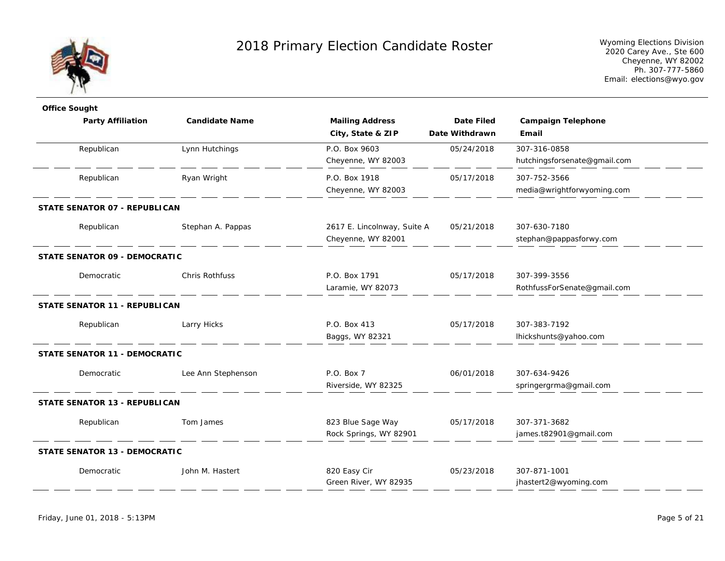

| <b>Office Sought</b>                 |                       |                             |                   |                              |
|--------------------------------------|-----------------------|-----------------------------|-------------------|------------------------------|
| <b>Party Affiliation</b>             | <b>Candidate Name</b> | <b>Mailing Address</b>      | <b>Date Filed</b> | <b>Campaign Telephone</b>    |
|                                      |                       | City, State & ZIP           | Date Withdrawn    | Email                        |
| Republican                           | Lynn Hutchings        | P.O. Box 9603               | 05/24/2018        | 307-316-0858                 |
|                                      |                       | Cheyenne, WY 82003          |                   | hutchingsforsenate@gmail.com |
| Republican                           | Ryan Wright           | P.O. Box 1918               | 05/17/2018        | 307-752-3566                 |
|                                      |                       | Cheyenne, WY 82003          |                   | media@wrightforwyoming.com   |
| STATE SENATOR 07 - REPUBLICAN        |                       |                             |                   |                              |
| Republican                           | Stephan A. Pappas     | 2617 E. Lincolnway, Suite A | 05/21/2018        | 307-630-7180                 |
|                                      |                       | Cheyenne, WY 82001          |                   | stephan@pappasforwy.com      |
| <b>STATE SENATOR 09 - DEMOCRATIC</b> |                       |                             |                   |                              |
| Democratic                           | Chris Rothfuss        | P.O. Box 1791               | 05/17/2018        | 307-399-3556                 |
|                                      |                       | Laramie, WY 82073           |                   | RothfussForSenate@gmail.com  |
| <b>STATE SENATOR 11 - REPUBLICAN</b> |                       |                             |                   |                              |
| Republican                           | Larry Hicks           | P.O. Box 413                | 05/17/2018        | 307-383-7192                 |
|                                      |                       | Baggs, WY 82321             |                   | lhickshunts@yahoo.com        |
| <b>STATE SENATOR 11 - DEMOCRATIC</b> |                       |                             |                   |                              |
| Democratic                           | Lee Ann Stephenson    | P.O. Box 7                  | 06/01/2018        | 307-634-9426                 |
|                                      |                       | Riverside, WY 82325         |                   | springergrma@gmail.com       |
| STATE SENATOR 13 - REPUBLICAN        |                       |                             |                   |                              |
| Republican                           | Tom James             | 823 Blue Sage Way           | 05/17/2018        | 307-371-3682                 |
|                                      |                       | Rock Springs, WY 82901      |                   | james.t82901@gmail.com       |
| STATE SENATOR 13 - DEMOCRATIC        |                       |                             |                   |                              |
| Democratic                           | John M. Hastert       | 820 Easy Cir                | 05/23/2018        | 307-871-1001                 |
|                                      |                       | Green River, WY 82935       |                   | jhastert2@wyoming.com        |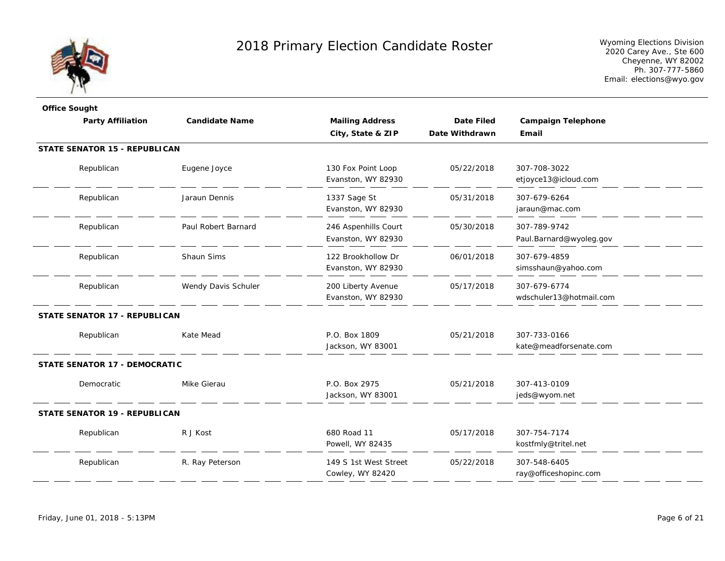

| <b>Office Sought</b>                 |                       |                        |                   |                           |
|--------------------------------------|-----------------------|------------------------|-------------------|---------------------------|
| <b>Party Affiliation</b>             | <b>Candidate Name</b> | <b>Mailing Address</b> | <b>Date Filed</b> | <b>Campaign Telephone</b> |
|                                      |                       | City, State & ZIP      | Date Withdrawn    | Email                     |
| <b>STATE SENATOR 15 - REPUBLICAN</b> |                       |                        |                   |                           |
| Republican                           | Eugene Joyce          | 130 Fox Point Loop     | 05/22/2018        | 307-708-3022              |
|                                      |                       | Evanston, WY 82930     |                   | etjoyce13@icloud.com      |
| Republican                           | Jaraun Dennis         | 1337 Sage St           | 05/31/2018        | 307-679-6264              |
|                                      |                       | Evanston, WY 82930     |                   | jaraun@mac.com            |
| Republican                           | Paul Robert Barnard   | 246 Aspenhills Court   | 05/30/2018        | 307-789-9742              |
|                                      |                       | Evanston, WY 82930     |                   | Paul.Barnard@wyoleg.gov   |
| Republican                           | Shaun Sims            | 122 Brookhollow Dr     | 06/01/2018        | 307-679-4859              |
|                                      |                       | Evanston, WY 82930     |                   | simsshaun@yahoo.com       |
| Republican                           | Wendy Davis Schuler   | 200 Liberty Avenue     | 05/17/2018        | 307-679-6774              |
|                                      |                       | Evanston, WY 82930     |                   | wdschuler13@hotmail.com   |
| <b>STATE SENATOR 17 - REPUBLICAN</b> |                       |                        |                   |                           |
| Republican                           | Kate Mead             | P.O. Box 1809          | 05/21/2018        | 307-733-0166              |
|                                      |                       | Jackson, WY 83001      |                   | kate@meadforsenate.com    |
| <b>STATE SENATOR 17 - DEMOCRATIC</b> |                       |                        |                   |                           |
| Democratic                           | Mike Gierau           | P.O. Box 2975          | 05/21/2018        | 307-413-0109              |
|                                      |                       | Jackson, WY 83001      |                   | jeds@wyom.net             |
| <b>STATE SENATOR 19 - REPUBLICAN</b> |                       |                        |                   |                           |
| Republican                           | R J Kost              | 680 Road 11            | 05/17/2018        | 307-754-7174              |
|                                      |                       | Powell, WY 82435       |                   | kostfmly@tritel.net       |
| Republican                           | R. Ray Peterson       | 149 S 1st West Street  | 05/22/2018        | 307-548-6405              |
|                                      |                       | Cowley, WY 82420       |                   | ray@officeshopinc.com     |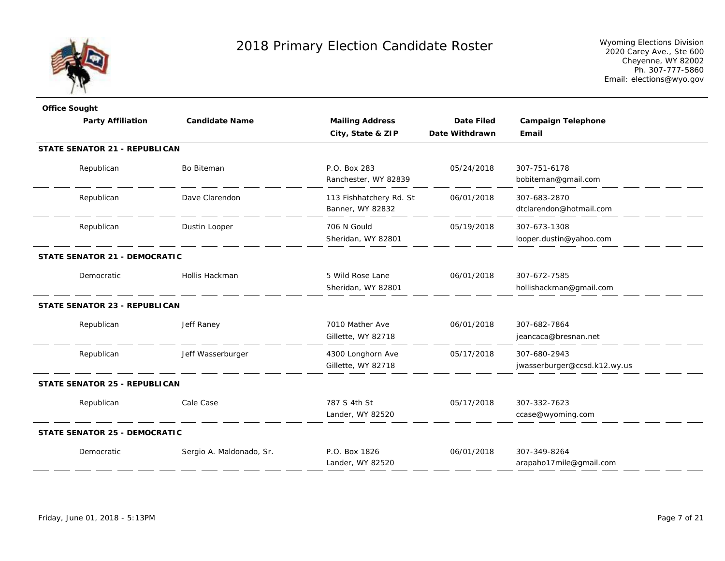

| <b>Office Sought</b>                 |                          |                                             |                   |                                              |
|--------------------------------------|--------------------------|---------------------------------------------|-------------------|----------------------------------------------|
| <b>Party Affiliation</b>             | <b>Candidate Name</b>    | <b>Mailing Address</b>                      | <b>Date Filed</b> | <b>Campaign Telephone</b>                    |
|                                      |                          | City, State & ZIP                           | Date Withdrawn    | Email                                        |
| <b>STATE SENATOR 21 - REPUBLICAN</b> |                          |                                             |                   |                                              |
| Republican                           | Bo Biteman               | P.O. Box 283<br>Ranchester, WY 82839        | 05/24/2018        | 307-751-6178<br>bobiteman@gmail.com          |
| Republican                           | Dave Clarendon           | 113 Fishhatchery Rd. St<br>Banner, WY 82832 | 06/01/2018        | 307-683-2870<br>dtclarendon@hotmail.com      |
| Republican                           | Dustin Looper            | 706 N Gould<br>Sheridan, WY 82801           | 05/19/2018        | 307-673-1308<br>looper.dustin@yahoo.com      |
| <b>STATE SENATOR 21 - DEMOCRATIC</b> |                          |                                             |                   |                                              |
| Democratic                           | Hollis Hackman           | 5 Wild Rose Lane<br>Sheridan, WY 82801      | 06/01/2018        | 307-672-7585<br>hollishackman@gmail.com      |
| <b>STATE SENATOR 23 - REPUBLICAN</b> |                          |                                             |                   |                                              |
| Republican                           | Jeff Raney               | 7010 Mather Ave<br>Gillette, WY 82718       | 06/01/2018        | 307-682-7864<br>jeancaca@bresnan.net         |
| Republican                           | Jeff Wasserburger        | 4300 Longhorn Ave<br>Gillette, WY 82718     | 05/17/2018        | 307-680-2943<br>jwasserburger@ccsd.k12.wy.us |
| <b>STATE SENATOR 25 - REPUBLICAN</b> |                          |                                             |                   |                                              |
| Republican                           | Cale Case                | 787 S 4th St<br>Lander, WY 82520            | 05/17/2018        | 307-332-7623<br>ccase@wyoming.com            |
| <b>STATE SENATOR 25 - DEMOCRATIC</b> |                          |                                             |                   |                                              |
| Democratic                           | Sergio A. Maldonado, Sr. | P.O. Box 1826<br>Lander, WY 82520           | 06/01/2018        | 307-349-8264<br>arapaho17mile@gmail.com      |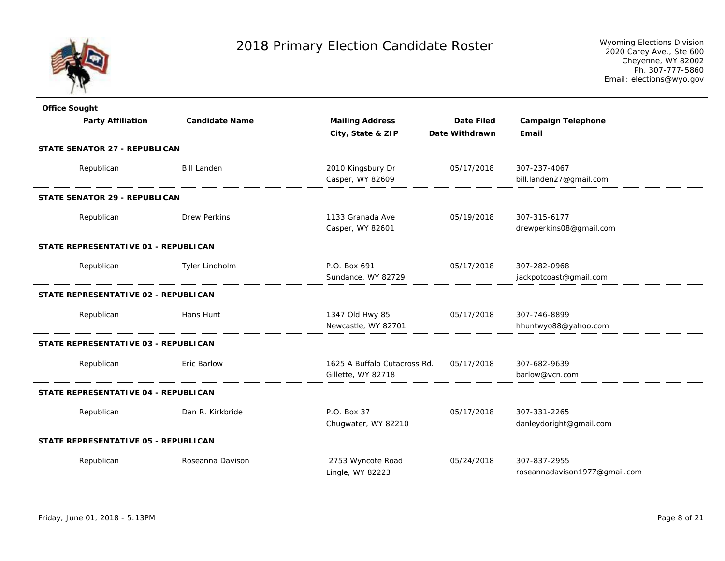

| <b>Office Sought</b>                 |                       |                              |                   |                               |
|--------------------------------------|-----------------------|------------------------------|-------------------|-------------------------------|
| <b>Party Affiliation</b>             | <b>Candidate Name</b> | <b>Mailing Address</b>       | <b>Date Filed</b> | <b>Campaign Telephone</b>     |
|                                      |                       | City, State & ZIP            | Date Withdrawn    | Email                         |
| STATE SENATOR 27 - REPUBLICAN        |                       |                              |                   |                               |
| Republican                           | <b>Bill Landen</b>    | 2010 Kingsbury Dr            | 05/17/2018        | 307-237-4067                  |
|                                      |                       | Casper, WY 82609             |                   | bill.landen27@gmail.com       |
| <b>STATE SENATOR 29 - REPUBLICAN</b> |                       |                              |                   |                               |
| Republican                           | <b>Drew Perkins</b>   | 1133 Granada Ave             | 05/19/2018        | 307-315-6177                  |
|                                      |                       | Casper, WY 82601             |                   | drewperkins08@gmail.com       |
| STATE REPRESENTATIVE 01 - REPUBLICAN |                       |                              |                   |                               |
| Republican                           | Tyler Lindholm        | P.O. Box 691                 | 05/17/2018        | 307-282-0968                  |
|                                      |                       | Sundance, WY 82729           |                   | jackpotcoast@gmail.com        |
| STATE REPRESENTATIVE 02 - REPUBLICAN |                       |                              |                   |                               |
| Republican                           | Hans Hunt             | 1347 Old Hwy 85              | 05/17/2018        | 307-746-8899                  |
|                                      |                       | Newcastle, WY 82701          |                   | hhuntwyo88@yahoo.com          |
| STATE REPRESENTATIVE 03 - REPUBLICAN |                       |                              |                   |                               |
| Republican                           | Eric Barlow           | 1625 A Buffalo Cutacross Rd. | 05/17/2018        | 307-682-9639                  |
|                                      |                       | Gillette, WY 82718           |                   | barlow@vcn.com                |
| STATE REPRESENTATIVE 04 - REPUBLICAN |                       |                              |                   |                               |
| Republican                           | Dan R. Kirkbride      | P.O. Box 37                  | 05/17/2018        | 307-331-2265                  |
|                                      |                       | Chugwater, WY 82210          |                   | danleydoright@gmail.com       |
| STATE REPRESENTATIVE 05 - REPUBLICAN |                       |                              |                   |                               |
| Republican                           | Roseanna Davison      | 2753 Wyncote Road            | 05/24/2018        | 307-837-2955                  |
|                                      |                       | Lingle, WY 82223             |                   | roseannadavison1977@gmail.com |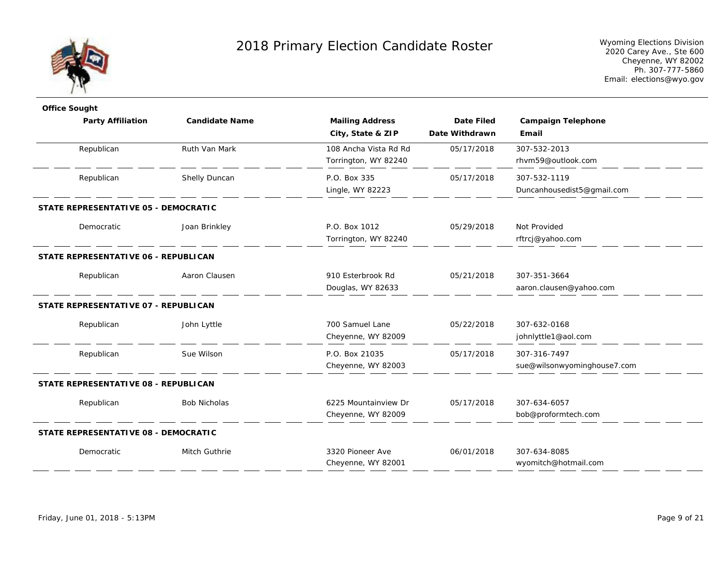

| <b>Office Sought</b>                 |                       |                        |                   |                             |  |
|--------------------------------------|-----------------------|------------------------|-------------------|-----------------------------|--|
| <b>Party Affiliation</b>             | <b>Candidate Name</b> | <b>Mailing Address</b> | <b>Date Filed</b> | <b>Campaign Telephone</b>   |  |
|                                      |                       | City, State & ZIP      | Date Withdrawn    | Email                       |  |
| Republican                           | Ruth Van Mark         | 108 Ancha Vista Rd Rd  | 05/17/2018        | 307-532-2013                |  |
|                                      |                       | Torrington, WY 82240   |                   | rhvm59@outlook.com          |  |
| Republican                           | Shelly Duncan         | P.O. Box 335           | 05/17/2018        | 307-532-1119                |  |
|                                      |                       | Lingle, WY 82223       |                   | Duncanhousedist5@gmail.com  |  |
| STATE REPRESENTATIVE 05 - DEMOCRATIC |                       |                        |                   |                             |  |
| Democratic                           | Joan Brinkley         | P.O. Box 1012          | 05/29/2018        | Not Provided                |  |
|                                      |                       | Torrington, WY 82240   |                   | rftrcj@yahoo.com            |  |
| STATE REPRESENTATIVE 06 - REPUBLICAN |                       |                        |                   |                             |  |
| Republican                           | Aaron Clausen         | 910 Esterbrook Rd      | 05/21/2018        | 307-351-3664                |  |
|                                      |                       | Douglas, WY 82633      |                   | aaron.clausen@yahoo.com     |  |
| STATE REPRESENTATIVE 07 - REPUBLICAN |                       |                        |                   |                             |  |
| Republican                           | John Lyttle           | 700 Samuel Lane        | 05/22/2018        | 307-632-0168                |  |
|                                      |                       | Cheyenne, WY 82009     |                   | johnlyttle1@aol.com         |  |
| Republican                           | Sue Wilson            | P.O. Box 21035         | 05/17/2018        | 307-316-7497                |  |
|                                      |                       | Cheyenne, WY 82003     |                   | sue@wilsonwyominghouse7.com |  |
| STATE REPRESENTATIVE 08 - REPUBLICAN |                       |                        |                   |                             |  |
| Republican                           | <b>Bob Nicholas</b>   | 6225 Mountainview Dr   | 05/17/2018        | 307-634-6057                |  |
|                                      |                       | Cheyenne, WY 82009     |                   | bob@proformtech.com         |  |
| STATE REPRESENTATIVE 08 - DEMOCRATIC |                       |                        |                   |                             |  |
| Democratic                           | Mitch Guthrie         | 3320 Pioneer Ave       | 06/01/2018        | 307-634-8085                |  |
|                                      |                       | Cheyenne, WY 82001     |                   | wyomitch@hotmail.com        |  |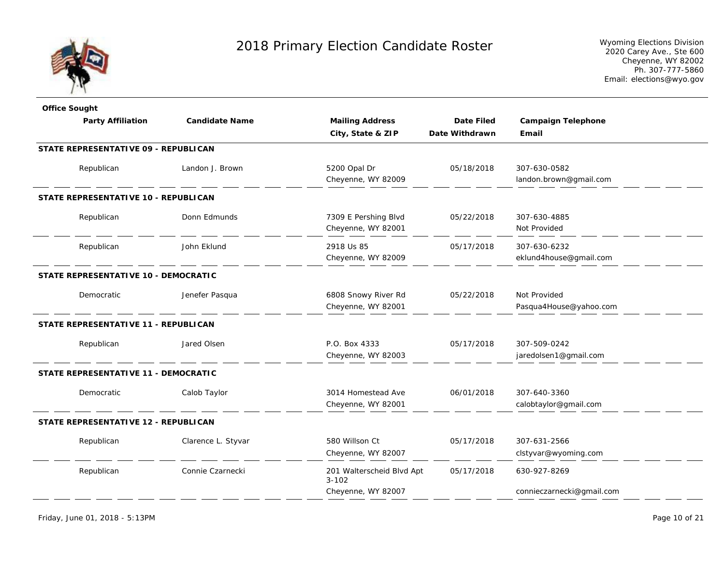

| <b>Office Sought</b>                 |                       |                                        |                   |                           |
|--------------------------------------|-----------------------|----------------------------------------|-------------------|---------------------------|
| <b>Party Affiliation</b>             | <b>Candidate Name</b> | <b>Mailing Address</b>                 | <b>Date Filed</b> | <b>Campaign Telephone</b> |
|                                      |                       | City, State & ZIP                      | Date Withdrawn    | Email                     |
| STATE REPRESENTATIVE 09 - REPUBLICAN |                       |                                        |                   |                           |
| Republican                           | Landon J. Brown       | 5200 Opal Dr                           | 05/18/2018        | 307-630-0582              |
|                                      |                       | Cheyenne, WY 82009                     |                   | landon.brown@gmail.com    |
| STATE REPRESENTATIVE 10 - REPUBLICAN |                       |                                        |                   |                           |
| Republican                           | Donn Edmunds          | 7309 E Pershing Blvd                   | 05/22/2018        | 307-630-4885              |
|                                      |                       | Cheyenne, WY 82001                     |                   | Not Provided              |
| Republican                           | John Eklund           | 2918 Us 85                             | 05/17/2018        | 307-630-6232              |
|                                      |                       | Cheyenne, WY 82009                     |                   | eklund4house@gmail.com    |
| STATE REPRESENTATIVE 10 - DEMOCRATIC |                       |                                        |                   |                           |
| Democratic                           | Jenefer Pasqua        | 6808 Snowy River Rd                    | 05/22/2018        | Not Provided              |
|                                      |                       | Cheyenne, WY 82001                     |                   | Pasqua4House@yahoo.com    |
| STATE REPRESENTATIVE 11 - REPUBLICAN |                       |                                        |                   |                           |
| Republican                           | Jared Olsen           | P.O. Box 4333                          | 05/17/2018        | 307-509-0242              |
|                                      |                       | Cheyenne, WY 82003                     |                   | jaredolsen1@gmail.com     |
| STATE REPRESENTATIVE 11 - DEMOCRATIC |                       |                                        |                   |                           |
| Democratic                           | Calob Taylor          | 3014 Homestead Ave                     | 06/01/2018        | 307-640-3360              |
|                                      |                       | Cheyenne, WY 82001                     |                   | calobtaylor@gmail.com     |
| STATE REPRESENTATIVE 12 - REPUBLICAN |                       |                                        |                   |                           |
| Republican                           | Clarence L. Styvar    | 580 Willson Ct                         | 05/17/2018        | 307-631-2566              |
|                                      |                       | Cheyenne, WY 82007                     |                   | clstyvar@wyoming.com      |
| Republican                           | Connie Czarnecki      | 201 Walterscheid Blvd Apt<br>$3 - 102$ | 05/17/2018        | 630-927-8269              |
|                                      |                       | Cheyenne, WY 82007                     |                   | connieczarnecki@gmail.com |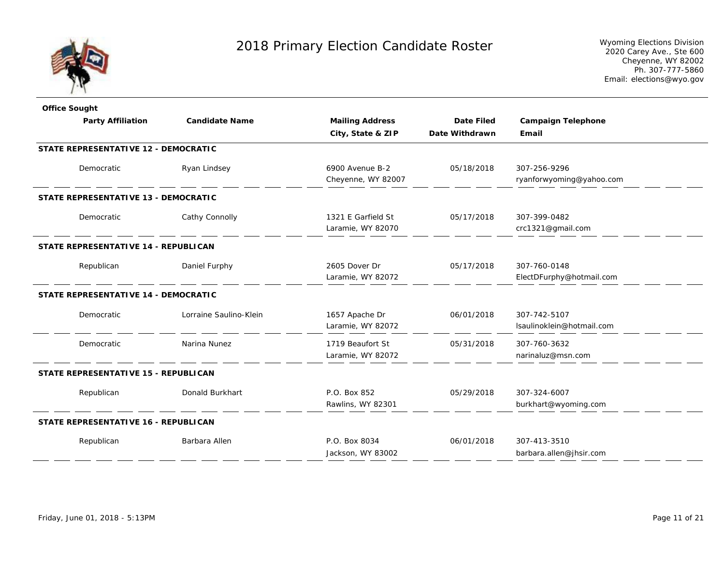

| <b>Office Sought</b>                        |                        |                        |                   |                           |
|---------------------------------------------|------------------------|------------------------|-------------------|---------------------------|
| <b>Party Affiliation</b>                    | <b>Candidate Name</b>  | <b>Mailing Address</b> | <b>Date Filed</b> | <b>Campaign Telephone</b> |
|                                             |                        | City, State & ZIP      | Date Withdrawn    | Email                     |
| <b>STATE REPRESENTATIVE 12 - DEMOCRATIC</b> |                        |                        |                   |                           |
| Democratic                                  | Ryan Lindsey           | 6900 Avenue B-2        | 05/18/2018        | 307-256-9296              |
|                                             |                        | Cheyenne, WY 82007     |                   | ryanforwyoming@yahoo.com  |
| STATE REPRESENTATIVE 13 - DEMOCRATIC        |                        |                        |                   |                           |
| Democratic                                  | Cathy Connolly         | 1321 E Garfield St     | 05/17/2018        | 307-399-0482              |
|                                             |                        | Laramie, WY 82070      |                   | crc1321@gmail.com         |
| STATE REPRESENTATIVE 14 - REPUBLICAN        |                        |                        |                   |                           |
| Republican                                  | Daniel Furphy          | 2605 Dover Dr          | 05/17/2018        | 307-760-0148              |
|                                             |                        | Laramie, WY 82072      |                   | ElectDFurphy@hotmail.com  |
| STATE REPRESENTATIVE 14 - DEMOCRATIC        |                        |                        |                   |                           |
| Democratic                                  | Lorraine Saulino-Klein | 1657 Apache Dr         | 06/01/2018        | 307-742-5107              |
|                                             |                        | Laramie, WY 82072      |                   | Isaulinoklein@hotmail.com |
| Democratic                                  | Narina Nunez           | 1719 Beaufort St       | 05/31/2018        | 307-760-3632              |
|                                             |                        | Laramie, WY 82072      |                   | narinaluz@msn.com         |
| STATE REPRESENTATIVE 15 - REPUBLICAN        |                        |                        |                   |                           |
| Republican                                  | Donald Burkhart        | P.O. Box 852           | 05/29/2018        | 307-324-6007              |
|                                             |                        | Rawlins, WY 82301      |                   | burkhart@wyoming.com      |
| STATE REPRESENTATIVE 16 - REPUBLICAN        |                        |                        |                   |                           |
| Republican                                  | Barbara Allen          | P.O. Box 8034          | 06/01/2018        | 307-413-3510              |
|                                             |                        | Jackson, WY 83002      |                   | barbara.allen@jhsir.com   |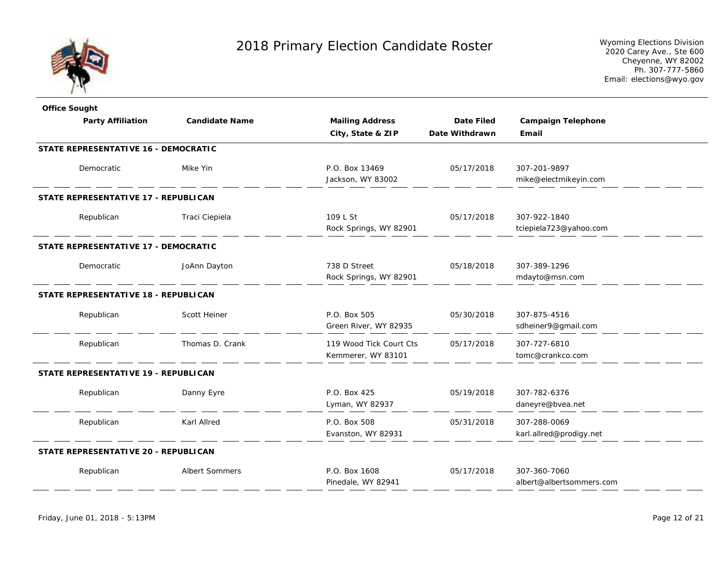

| <b>Office Sought</b>                        |                       |                         |                   |                           |
|---------------------------------------------|-----------------------|-------------------------|-------------------|---------------------------|
| <b>Party Affiliation</b>                    | <b>Candidate Name</b> | <b>Mailing Address</b>  | <b>Date Filed</b> | <b>Campaign Telephone</b> |
|                                             |                       | City, State & ZIP       | Date Withdrawn    | Email                     |
| <b>STATE REPRESENTATIVE 16 - DEMOCRATIC</b> |                       |                         |                   |                           |
| Democratic                                  | Mike Yin              | P.O. Box 13469          | 05/17/2018        | 307-201-9897              |
|                                             |                       | Jackson, WY 83002       |                   | mike@electmikeyin.com     |
| STATE REPRESENTATIVE 17 - REPUBLICAN        |                       |                         |                   |                           |
| Republican                                  | Traci Ciepiela        | 109 L St                | 05/17/2018        | 307-922-1840              |
|                                             |                       | Rock Springs, WY 82901  |                   | tciepiela723@yahoo.com    |
| STATE REPRESENTATIVE 17 - DEMOCRATIC        |                       |                         |                   |                           |
| Democratic                                  | JoAnn Dayton          | 738 D Street            | 05/18/2018        | 307-389-1296              |
|                                             |                       | Rock Springs, WY 82901  |                   | mdayto@msn.com            |
| <b>STATE REPRESENTATIVE 18 - REPUBLICAN</b> |                       |                         |                   |                           |
| Republican                                  | Scott Heiner          | P.O. Box 505            | 05/30/2018        | 307-875-4516              |
|                                             |                       | Green River, WY 82935   |                   | sdheiner9@gmail.com       |
| Republican                                  | Thomas D. Crank       | 119 Wood Tick Court Cts | 05/17/2018        | 307-727-6810              |
|                                             |                       | Kemmerer, WY 83101      |                   | tomc@crankco.com          |
| STATE REPRESENTATIVE 19 - REPUBLICAN        |                       |                         |                   |                           |
| Republican                                  | Danny Eyre            | P.O. Box 425            | 05/19/2018        | 307-782-6376              |
|                                             |                       | Lyman, WY 82937         |                   | daneyre@bvea.net          |
| Republican                                  | Karl Allred           | P.O. Box 508            | 05/31/2018        | 307-288-0069              |
|                                             |                       | Evanston, WY 82931      |                   | karl.allred@prodigy.net   |
| STATE REPRESENTATIVE 20 - REPUBLICAN        |                       |                         |                   |                           |
| Republican                                  | <b>Albert Sommers</b> | P.O. Box 1608           | 05/17/2018        | 307-360-7060              |
|                                             |                       | Pinedale, WY 82941      |                   | albert@albertsommers.com  |
|                                             |                       |                         |                   |                           |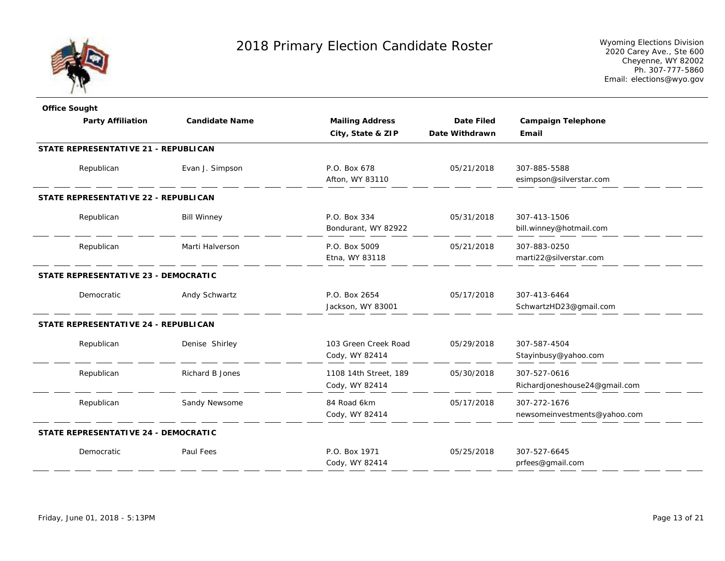

| <b>Office Sought</b>                 |                        |                        |                |                               |
|--------------------------------------|------------------------|------------------------|----------------|-------------------------------|
| <b>Party Affiliation</b>             | <b>Candidate Name</b>  | <b>Mailing Address</b> | Date Filed     | <b>Campaign Telephone</b>     |
|                                      |                        | City, State & ZIP      | Date Withdrawn | Email                         |
| STATE REPRESENTATIVE 21 - REPUBLICAN |                        |                        |                |                               |
| Republican                           | Evan J. Simpson        | P.O. Box 678           | 05/21/2018     | 307-885-5588                  |
|                                      |                        | Afton, WY 83110        |                | esimpson@silverstar.com       |
| STATE REPRESENTATIVE 22 - REPUBLICAN |                        |                        |                |                               |
| Republican                           | <b>Bill Winney</b>     | P.O. Box 334           | 05/31/2018     | 307-413-1506                  |
|                                      |                        | Bondurant, WY 82922    |                | bill.winney@hotmail.com       |
| Republican                           | Marti Halverson        | P.O. Box 5009          | 05/21/2018     | 307-883-0250                  |
|                                      |                        | Etna, WY 83118         |                | marti22@silverstar.com        |
| STATE REPRESENTATIVE 23 - DEMOCRATIC |                        |                        |                |                               |
| Democratic                           | Andy Schwartz          | P.O. Box 2654          | 05/17/2018     | 307-413-6464                  |
|                                      |                        | Jackson, WY 83001      |                | SchwartzHD23@gmail.com        |
| STATE REPRESENTATIVE 24 - REPUBLICAN |                        |                        |                |                               |
| Republican                           | Denise Shirley         | 103 Green Creek Road   | 05/29/2018     | 307-587-4504                  |
|                                      |                        | Cody, WY 82414         |                | Stayinbusy@yahoo.com          |
| Republican                           | <b>Richard B Jones</b> | 1108 14th Street, 189  | 05/30/2018     | 307-527-0616                  |
|                                      |                        | Cody, WY 82414         |                | Richardjoneshouse24@gmail.com |
| Republican                           | Sandy Newsome          | 84 Road 6km            | 05/17/2018     | 307-272-1676                  |
|                                      |                        | Cody, WY 82414         |                | newsomeinvestments@yahoo.com  |
| STATE REPRESENTATIVE 24 - DEMOCRATIC |                        |                        |                |                               |
| Democratic                           | Paul Fees              | P.O. Box 1971          | 05/25/2018     | 307-527-6645                  |
|                                      |                        | Cody, WY 82414         |                | prfees@gmail.com              |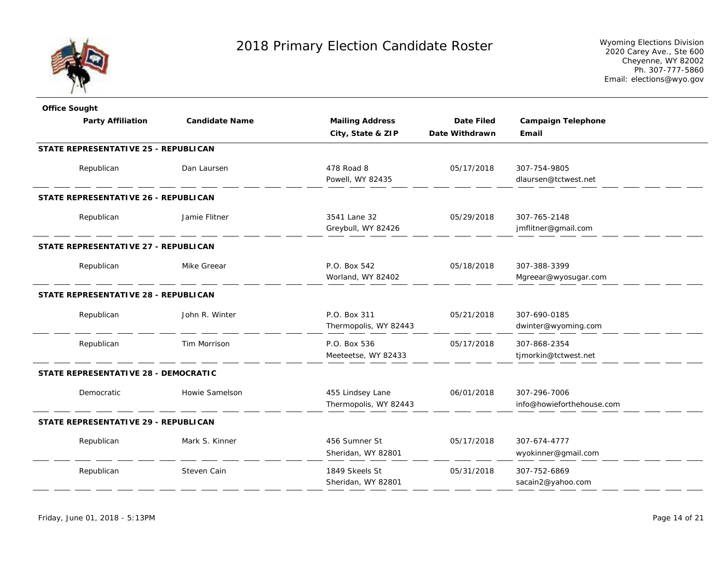

| <b>Office Sought</b>                 |                       |                        |                   |                           |
|--------------------------------------|-----------------------|------------------------|-------------------|---------------------------|
| <b>Party Affiliation</b>             | <b>Candidate Name</b> | <b>Mailing Address</b> | <b>Date Filed</b> | <b>Campaign Telephone</b> |
|                                      |                       | City, State & ZIP      | Date Withdrawn    | Email                     |
| STATE REPRESENTATIVE 25 - REPUBLICAN |                       |                        |                   |                           |
| Republican                           | Dan Laursen           | 478 Road 8             | 05/17/2018        | 307-754-9805              |
|                                      |                       | Powell, WY 82435       |                   | dlaursen@tctwest.net      |
| STATE REPRESENTATIVE 26 - REPUBLICAN |                       |                        |                   |                           |
| Republican                           | Jamie Flitner         | 3541 Lane 32           | 05/29/2018        | 307-765-2148              |
|                                      |                       | Greybull, WY 82426     |                   | jmflitner@gmail.com       |
| STATE REPRESENTATIVE 27 - REPUBLICAN |                       |                        |                   |                           |
| Republican                           | Mike Greear           | P.O. Box 542           | 05/18/2018        | 307-388-3399              |
|                                      |                       | Worland, WY 82402      |                   | Mgreear@wyosugar.com      |
| STATE REPRESENTATIVE 28 - REPUBLICAN |                       |                        |                   |                           |
| Republican                           | John R. Winter        | P.O. Box 311           | 05/21/2018        | 307-690-0185              |
|                                      |                       | Thermopolis, WY 82443  |                   | dwinter@wyoming.com       |
| Republican                           | Tim Morrison          | P.O. Box 536           | 05/17/2018        | 307-868-2354              |
|                                      |                       | Meeteetse, WY 82433    |                   | tjmorkin@tctwest.net      |
| STATE REPRESENTATIVE 28 - DEMOCRATIC |                       |                        |                   |                           |
| Democratic                           | Howie Samelson        | 455 Lindsey Lane       | 06/01/2018        | 307-296-7006              |
|                                      |                       | Thermopolis, WY 82443  |                   | info@howieforthehouse.com |
| STATE REPRESENTATIVE 29 - REPUBLICAN |                       |                        |                   |                           |
| Republican                           | Mark S. Kinner        | 456 Sumner St          | 05/17/2018        | 307-674-4777              |
|                                      |                       | Sheridan, WY 82801     |                   | wyokinner@gmail.com       |
| Republican                           | Steven Cain           | 1849 Skeels St         | 05/31/2018        | 307-752-6869              |
|                                      |                       | Sheridan, WY 82801     |                   | sacain2@yahoo.com         |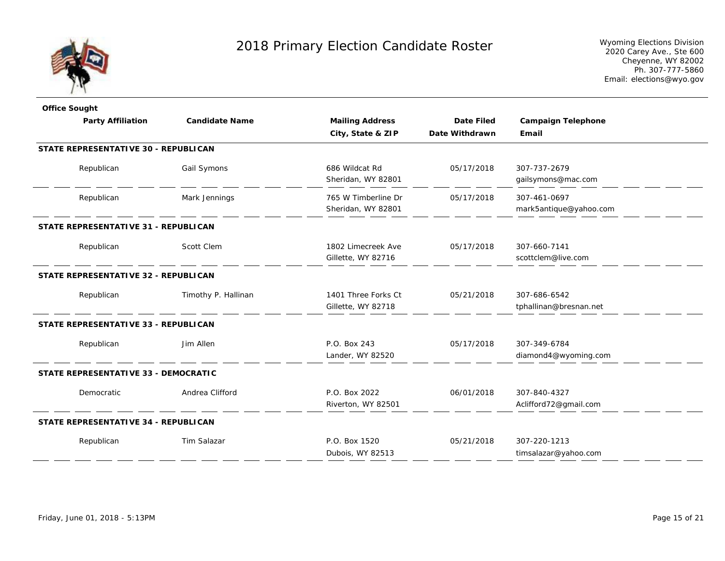

| <b>Office Sought</b>                 |                       |                                           |                   |                                        |  |
|--------------------------------------|-----------------------|-------------------------------------------|-------------------|----------------------------------------|--|
| <b>Party Affiliation</b>             | <b>Candidate Name</b> | <b>Mailing Address</b>                    | <b>Date Filed</b> | <b>Campaign Telephone</b>              |  |
|                                      |                       | City, State & ZIP                         | Date Withdrawn    | Email                                  |  |
| STATE REPRESENTATIVE 30 - REPUBLICAN |                       |                                           |                   |                                        |  |
| Republican                           | Gail Symons           | 686 Wildcat Rd<br>Sheridan, WY 82801      | 05/17/2018        | 307-737-2679<br>gailsymons@mac.com     |  |
| Republican                           | Mark Jennings         | 765 W Timberline Dr<br>Sheridan, WY 82801 | 05/17/2018        | 307-461-0697<br>mark5antique@yahoo.com |  |
| STATE REPRESENTATIVE 31 - REPUBLICAN |                       |                                           |                   |                                        |  |
| Republican                           | Scott Clem            | 1802 Limecreek Ave<br>Gillette, WY 82716  | 05/17/2018        | 307-660-7141<br>scottclem@live.com     |  |
| STATE REPRESENTATIVE 32 - REPUBLICAN |                       |                                           |                   |                                        |  |
| Republican                           | Timothy P. Hallinan   | 1401 Three Forks Ct<br>Gillette, WY 82718 | 05/21/2018        | 307-686-6542<br>tphallinan@bresnan.net |  |
| STATE REPRESENTATIVE 33 - REPUBLICAN |                       |                                           |                   |                                        |  |
| Republican                           | Jim Allen             | P.O. Box 243<br>Lander, WY 82520          | 05/17/2018        | 307-349-6784<br>diamond4@wyoming.com   |  |
| STATE REPRESENTATIVE 33 - DEMOCRATIC |                       |                                           |                   |                                        |  |
| Democratic                           | Andrea Clifford       | P.O. Box 2022<br>Riverton, WY 82501       | 06/01/2018        | 307-840-4327<br>Aclifford72@gmail.com  |  |
| STATE REPRESENTATIVE 34 - REPUBLICAN |                       |                                           |                   |                                        |  |
| Republican                           | Tim Salazar           | P.O. Box 1520<br>Dubois, WY 82513         | 05/21/2018        | 307-220-1213<br>timsalazar@yahoo.com   |  |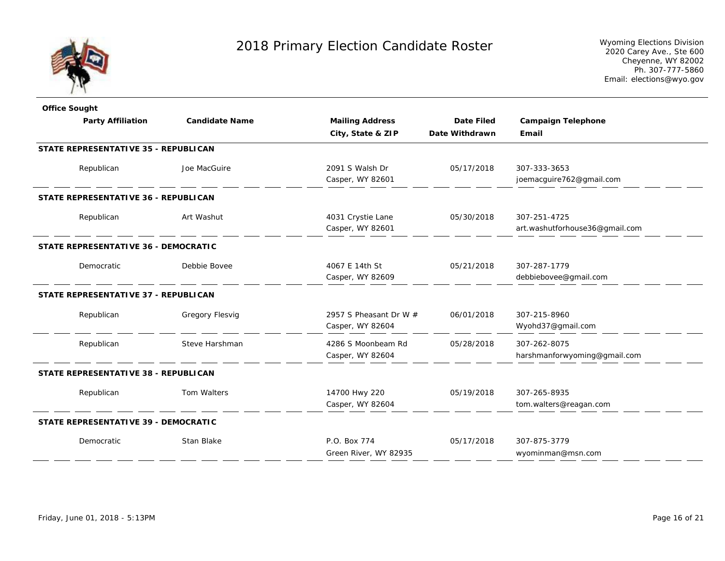

| <b>Office Sought</b>                 |                       |                          |                   |                                |
|--------------------------------------|-----------------------|--------------------------|-------------------|--------------------------------|
| <b>Party Affiliation</b>             | <b>Candidate Name</b> | <b>Mailing Address</b>   | <b>Date Filed</b> | <b>Campaign Telephone</b>      |
|                                      |                       | City, State & ZIP        | Date Withdrawn    | Email                          |
| STATE REPRESENTATIVE 35 - REPUBLICAN |                       |                          |                   |                                |
| Republican                           | Joe MacGuire          | 2091 S Walsh Dr          | 05/17/2018        | 307-333-3653                   |
|                                      |                       | Casper, WY 82601         |                   | joemacguire762@gmail.com       |
| STATE REPRESENTATIVE 36 - REPUBLICAN |                       |                          |                   |                                |
| Republican                           | Art Washut            | 4031 Crystie Lane        | 05/30/2018        | 307-251-4725                   |
|                                      |                       | Casper, WY 82601         |                   | art.washutforhouse36@gmail.com |
| STATE REPRESENTATIVE 36 - DEMOCRATIC |                       |                          |                   |                                |
| Democratic                           | Debbie Bovee          | 4067 E 14th St           | 05/21/2018        | 307-287-1779                   |
|                                      |                       | Casper, WY 82609         |                   | debbiebovee@gmail.com          |
| STATE REPRESENTATIVE 37 - REPUBLICAN |                       |                          |                   |                                |
| Republican                           | Gregory Flesvig       | 2957 S Pheasant Dr W $#$ | 06/01/2018        | 307-215-8960                   |
|                                      |                       | Casper, WY 82604         |                   | Wyohd37@gmail.com              |
| Republican                           | Steve Harshman        | 4286 S Moonbeam Rd       | 05/28/2018        | 307-262-8075                   |
|                                      |                       | Casper, WY 82604         |                   | harshmanforwyoming@gmail.com   |
| STATE REPRESENTATIVE 38 - REPUBLICAN |                       |                          |                   |                                |
| Republican                           | Tom Walters           | 14700 Hwy 220            | 05/19/2018        | 307-265-8935                   |
|                                      |                       | Casper, WY 82604         |                   | tom.walters@reagan.com         |
| STATE REPRESENTATIVE 39 - DEMOCRATIC |                       |                          |                   |                                |
| Democratic                           | Stan Blake            | P.O. Box 774             | 05/17/2018        | 307-875-3779                   |
|                                      |                       | Green River, WY 82935    |                   | wyominman@msn.com              |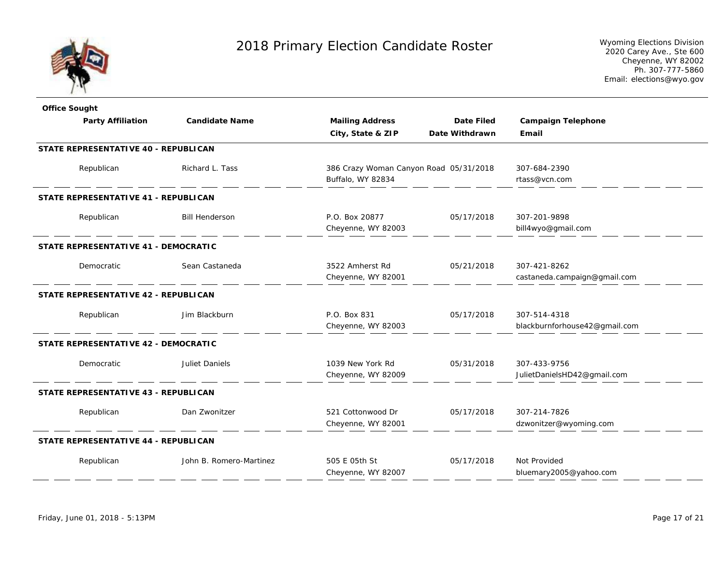

| <b>Office Sought</b>                        |                         |                                                             |                   |                                               |
|---------------------------------------------|-------------------------|-------------------------------------------------------------|-------------------|-----------------------------------------------|
| <b>Party Affiliation</b>                    | <b>Candidate Name</b>   | <b>Mailing Address</b>                                      | <b>Date Filed</b> | <b>Campaign Telephone</b>                     |
|                                             |                         | City, State & ZIP                                           | Date Withdrawn    | Email                                         |
| STATE REPRESENTATIVE 40 - REPUBLICAN        |                         |                                                             |                   |                                               |
| Republican                                  | Richard L. Tass         | 386 Crazy Woman Canyon Road 05/31/2018<br>Buffalo, WY 82834 |                   | 307-684-2390<br>rtass@vcn.com                 |
| <b>STATE REPRESENTATIVE 41 - REPUBLICAN</b> |                         |                                                             |                   |                                               |
| Republican                                  | <b>Bill Henderson</b>   | P.O. Box 20877<br>Cheyenne, WY 82003                        | 05/17/2018        | 307-201-9898<br>bill4wyo@gmail.com            |
| STATE REPRESENTATIVE 41 - DEMOCRATIC        |                         |                                                             |                   |                                               |
| Democratic                                  | Sean Castaneda          | 3522 Amherst Rd<br>Cheyenne, WY 82001                       | 05/21/2018        | 307-421-8262<br>castaneda.campaign@gmail.com  |
| STATE REPRESENTATIVE 42 - REPUBLICAN        |                         |                                                             |                   |                                               |
| Republican                                  | Jim Blackburn           | P.O. Box 831<br>Cheyenne, WY 82003                          | 05/17/2018        | 307-514-4318<br>blackburnforhouse42@gmail.com |
| STATE REPRESENTATIVE 42 - DEMOCRATIC        |                         |                                                             |                   |                                               |
| Democratic                                  | <b>Juliet Daniels</b>   | 1039 New York Rd<br>Cheyenne, WY 82009                      | 05/31/2018        | 307-433-9756<br>JulietDanielsHD42@gmail.com   |
| STATE REPRESENTATIVE 43 - REPUBLICAN        |                         |                                                             |                   |                                               |
| Republican                                  | Dan Zwonitzer           | 521 Cottonwood Dr<br>Cheyenne, WY 82001                     | 05/17/2018        | 307-214-7826<br>dzwonitzer@wyoming.com        |
| STATE REPRESENTATIVE 44 - REPUBLICAN        |                         |                                                             |                   |                                               |
| Republican                                  | John B. Romero-Martinez | 505 E 05th St<br>Cheyenne, WY 82007                         | 05/17/2018        | Not Provided<br>bluemary2005@yahoo.com        |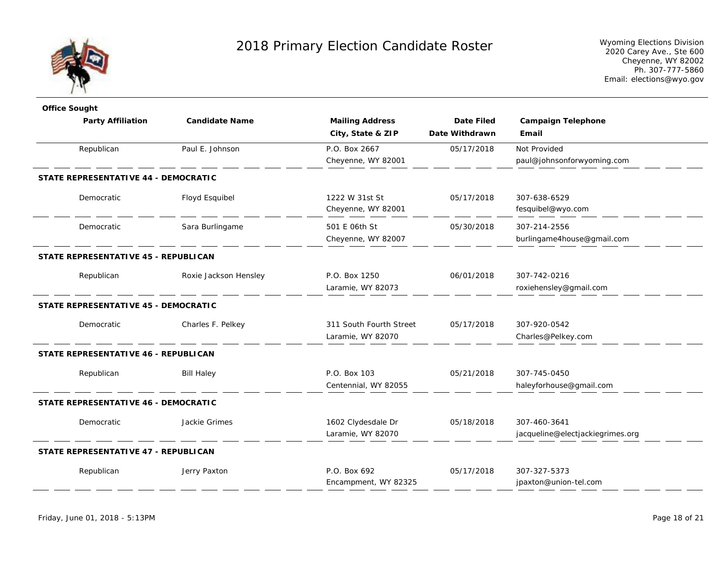

| <b>Office Sought</b>                 |                       |                         |                   |                                  |  |
|--------------------------------------|-----------------------|-------------------------|-------------------|----------------------------------|--|
| <b>Party Affiliation</b>             | <b>Candidate Name</b> | <b>Mailing Address</b>  | <b>Date Filed</b> | <b>Campaign Telephone</b>        |  |
|                                      |                       | City, State & ZIP       | Date Withdrawn    | Email                            |  |
| Republican                           | Paul E. Johnson       | P.O. Box 2667           | 05/17/2018        | Not Provided                     |  |
|                                      |                       | Cheyenne, WY 82001      |                   | paul@johnsonforwyoming.com       |  |
| STATE REPRESENTATIVE 44 - DEMOCRATIC |                       |                         |                   |                                  |  |
| Democratic                           | Floyd Esquibel        | 1222 W 31st St          | 05/17/2018        | 307-638-6529                     |  |
|                                      |                       | Cheyenne, WY 82001      |                   | fesquibel@wyo.com                |  |
| Democratic                           | Sara Burlingame       | 501 E 06th St           | 05/30/2018        | 307-214-2556                     |  |
|                                      |                       | Cheyenne, WY 82007      |                   | burlingame4house@gmail.com       |  |
| STATE REPRESENTATIVE 45 - REPUBLICAN |                       |                         |                   |                                  |  |
| Republican                           | Roxie Jackson Hensley | P.O. Box 1250           | 06/01/2018        | 307-742-0216                     |  |
|                                      |                       | Laramie, WY 82073       |                   | roxiehensley@gmail.com           |  |
| STATE REPRESENTATIVE 45 - DEMOCRATIC |                       |                         |                   |                                  |  |
| Democratic                           | Charles F. Pelkey     | 311 South Fourth Street | 05/17/2018        | 307-920-0542                     |  |
|                                      |                       | Laramie, WY 82070       |                   | Charles@Pelkey.com               |  |
| STATE REPRESENTATIVE 46 - REPUBLICAN |                       |                         |                   |                                  |  |
| Republican                           | <b>Bill Haley</b>     | P.O. Box 103            | 05/21/2018        | 307-745-0450                     |  |
|                                      |                       | Centennial, WY 82055    |                   | haleyforhouse@gmail.com          |  |
| STATE REPRESENTATIVE 46 - DEMOCRATIC |                       |                         |                   |                                  |  |
| Democratic                           | Jackie Grimes         | 1602 Clydesdale Dr      | 05/18/2018        | 307-460-3641                     |  |
|                                      |                       | Laramie, WY 82070       |                   | jacqueline@electjackiegrimes.org |  |
| STATE REPRESENTATIVE 47 - REPUBLICAN |                       |                         |                   |                                  |  |
| Republican                           | Jerry Paxton          | P.O. Box 692            | 05/17/2018        | 307-327-5373                     |  |
|                                      |                       | Encampment, WY 82325    |                   | jpaxton@union-tel.com            |  |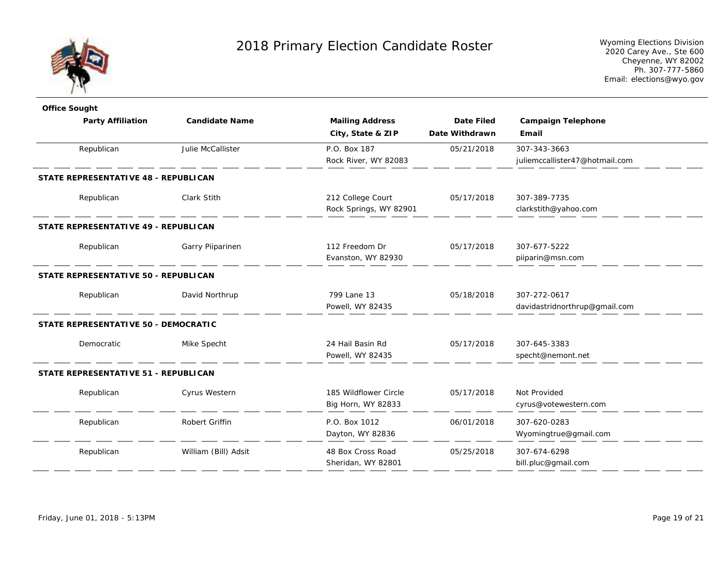

| <b>Office Sought</b>                 |                       |                        |                   |                                |
|--------------------------------------|-----------------------|------------------------|-------------------|--------------------------------|
| <b>Party Affiliation</b>             | <b>Candidate Name</b> | <b>Mailing Address</b> | <b>Date Filed</b> | <b>Campaign Telephone</b>      |
|                                      |                       | City, State & ZIP      | Date Withdrawn    | Email                          |
| Republican                           | Julie McCallister     | P.O. Box 187           | 05/21/2018        | 307-343-3663                   |
|                                      |                       | Rock River, WY 82083   |                   | juliemccallister47@hotmail.com |
| STATE REPRESENTATIVE 48 - REPUBLICAN |                       |                        |                   |                                |
| Republican                           | <b>Clark Stith</b>    | 212 College Court      | 05/17/2018        | 307-389-7735                   |
|                                      |                       | Rock Springs, WY 82901 |                   | clarkstith@yahoo.com           |
| STATE REPRESENTATIVE 49 - REPUBLICAN |                       |                        |                   |                                |
| Republican                           | Garry Pilparinen      | 112 Freedom Dr         | 05/17/2018        | 307-677-5222                   |
|                                      |                       | Evanston, WY 82930     |                   | piiparin@msn.com               |
| STATE REPRESENTATIVE 50 - REPUBLICAN |                       |                        |                   |                                |
| Republican                           | David Northrup        | 799 Lane 13            | 05/18/2018        | 307-272-0617                   |
|                                      |                       | Powell, WY 82435       |                   | davidastridnorthrup@gmail.com  |
| STATE REPRESENTATIVE 50 - DEMOCRATIC |                       |                        |                   |                                |
| Democratic                           | Mike Specht           | 24 Hail Basin Rd       | 05/17/2018        | 307-645-3383                   |
|                                      |                       | Powell, WY 82435       |                   | specht@nemont.net              |
| STATE REPRESENTATIVE 51 - REPUBLICAN |                       |                        |                   |                                |
| Republican                           | Cyrus Western         | 185 Wildflower Circle  | 05/17/2018        | Not Provided                   |
|                                      |                       | Big Horn, WY 82833     |                   | cyrus@votewestern.com          |
| Republican                           | Robert Griffin        | P.O. Box 1012          | 06/01/2018        | 307-620-0283                   |
|                                      |                       | Dayton, WY 82836       |                   | Wyomingtrue@gmail.com          |
| Republican                           | William (Bill) Adsit  | 48 Box Cross Road      | 05/25/2018        | 307-674-6298                   |
|                                      |                       | Sheridan, WY 82801     |                   | bill.pluc@gmail.com            |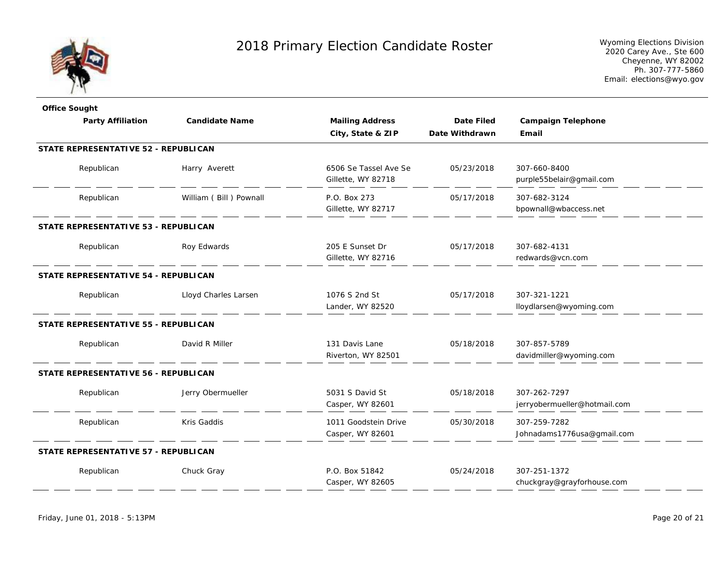

| <b>Office Sought</b>                        |                        |                        |                   |                              |
|---------------------------------------------|------------------------|------------------------|-------------------|------------------------------|
| <b>Party Affiliation</b>                    | <b>Candidate Name</b>  | <b>Mailing Address</b> | <b>Date Filed</b> | <b>Campaign Telephone</b>    |
|                                             |                        | City, State & ZIP      | Date Withdrawn    | Email                        |
| STATE REPRESENTATIVE 52 - REPUBLICAN        |                        |                        |                   |                              |
| Republican                                  | Harry Averett          | 6506 Se Tassel Ave Se  | 05/23/2018        | 307-660-8400                 |
|                                             |                        | Gillette, WY 82718     |                   | purple55belair@gmail.com     |
| Republican                                  | William (Bill) Pownall | P.O. Box 273           | 05/17/2018        | 307-682-3124                 |
|                                             |                        | Gillette, WY 82717     |                   | bpownall@wbaccess.net        |
| STATE REPRESENTATIVE 53 - REPUBLICAN        |                        |                        |                   |                              |
| Republican                                  | Roy Edwards            | 205 E Sunset Dr        | 05/17/2018        | 307-682-4131                 |
|                                             |                        | Gillette, WY 82716     |                   | redwards@vcn.com             |
| STATE REPRESENTATIVE 54 - REPUBLICAN        |                        |                        |                   |                              |
| Republican                                  | Lloyd Charles Larsen   | 1076 S 2nd St          | 05/17/2018        | 307-321-1221                 |
|                                             |                        | Lander, WY 82520       |                   | lloydlarsen@wyoming.com      |
| <b>STATE REPRESENTATIVE 55 - REPUBLICAN</b> |                        |                        |                   |                              |
| Republican                                  | David R Miller         | 131 Davis Lane         | 05/18/2018        | 307-857-5789                 |
|                                             |                        | Riverton, WY 82501     |                   | davidmiller@wyoming.com      |
| STATE REPRESENTATIVE 56 - REPUBLICAN        |                        |                        |                   |                              |
| Republican                                  | Jerry Obermueller      | 5031 S David St        | 05/18/2018        | 307-262-7297                 |
|                                             |                        | Casper, WY 82601       |                   | jerryobermueller@hotmail.com |
| Republican                                  | Kris Gaddis            | 1011 Goodstein Drive   | 05/30/2018        | 307-259-7282                 |
|                                             |                        | Casper, WY 82601       |                   | Johnadams1776usa@gmail.com   |
| STATE REPRESENTATIVE 57 - REPUBLICAN        |                        |                        |                   |                              |
| Republican                                  | Chuck Gray             | P.O. Box 51842         | 05/24/2018        | 307-251-1372                 |
|                                             |                        | Casper, WY 82605       |                   | chuckgray@grayforhouse.com   |